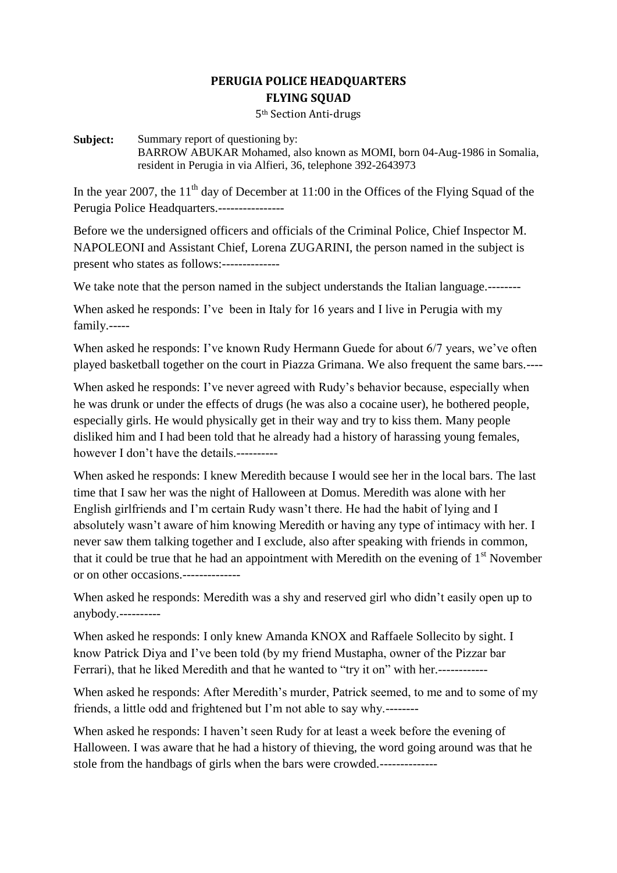## **PERUGIA POLICE HEADQUARTERS FLYING SQUAD**

5th Section Anti-drugs

## **Subject:** Summary report of questioning by: BARROW ABUKAR Mohamed, also known as MOMI, born 04-Aug-1986 in Somalia, resident in Perugia in via Alfieri, 36, telephone 392-2643973

In the year 2007, the  $11<sup>th</sup>$  day of December at 11:00 in the Offices of the Flying Squad of the Perugia Police Headquarters.----------------

Before we the undersigned officers and officials of the Criminal Police, Chief Inspector M. NAPOLEONI and Assistant Chief, Lorena ZUGARINI, the person named in the subject is present who states as follows:--------------

We take note that the person named in the subject understands the Italian language.--------

When asked he responds: I've been in Italy for 16 years and I live in Perugia with my family.-----

When asked he responds: I've known Rudy Hermann Guede for about 6/7 years, we've often played basketball together on the court in Piazza Grimana. We also frequent the same bars.----

When asked he responds: I've never agreed with Rudy's behavior because, especially when he was drunk or under the effects of drugs (he was also a cocaine user), he bothered people, especially girls. He would physically get in their way and try to kiss them. Many people disliked him and I had been told that he already had a history of harassing young females, however I don't have the details.----------

When asked he responds: I knew Meredith because I would see her in the local bars. The last time that I saw her was the night of Halloween at Domus. Meredith was alone with her English girlfriends and I'm certain Rudy wasn't there. He had the habit of lying and I absolutely wasn't aware of him knowing Meredith or having any type of intimacy with her. I never saw them talking together and I exclude, also after speaking with friends in common, that it could be true that he had an appointment with Meredith on the evening of  $1<sup>st</sup>$  November or on other occasions.--------------

When asked he responds: Meredith was a shy and reserved girl who didn't easily open up to anybody.----------

When asked he responds: I only knew Amanda KNOX and Raffaele Sollecito by sight. I know Patrick Diya and I've been told (by my friend Mustapha, owner of the Pizzar bar Ferrari), that he liked Meredith and that he wanted to "try it on" with her.------------

When asked he responds: After Meredith's murder, Patrick seemed, to me and to some of my friends, a little odd and frightened but I'm not able to say why.--------

When asked he responds: I haven't seen Rudy for at least a week before the evening of Halloween. I was aware that he had a history of thieving, the word going around was that he stole from the handbags of girls when the bars were crowded.--------------